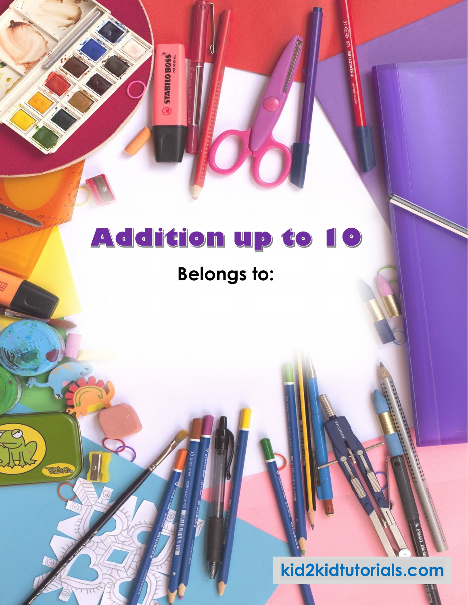$\circ$  stabilizes

### **Belongs to:**

Websth

### **kid2kidtutorials.com**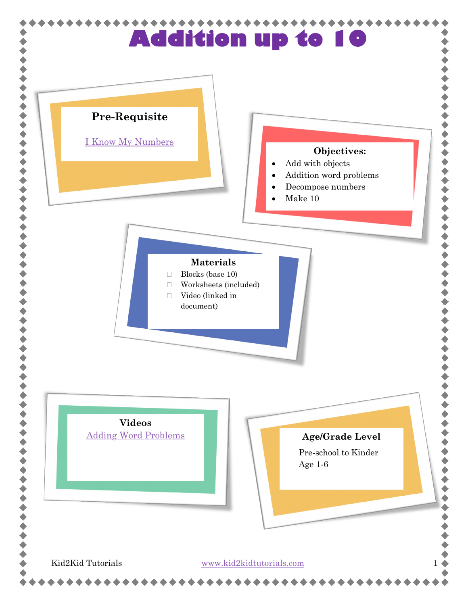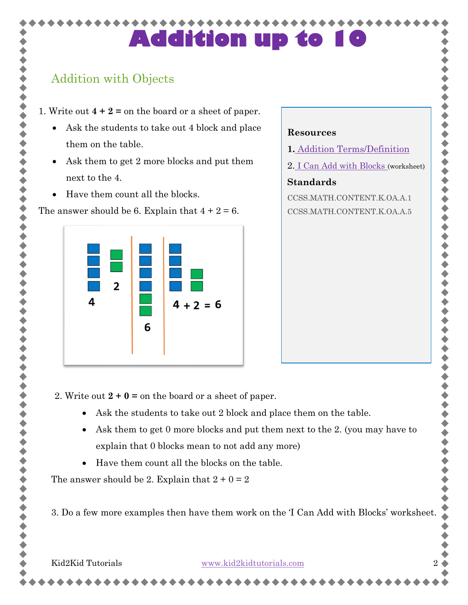**Resources**

**Standards**

**1.** [Addition Terms/Definition](#page-7-0)

CCSS.MATH.CONTENT.K.OA.A.1 CCSS.MATH.CONTENT.K.OA.A.5

2. [I Can Add with Blocks](#page-8-0) (worksheet)

### Addition with Objects

1. Write out **4 + 2 =** on the board or a sheet of paper.

- Ask the students to take out 4 block and place them on the table.
- Ask them to get 2 more blocks and put them next to the 4.
- Have them count all the blocks.

The answer should be 6. Explain that  $4 + 2 = 6$ .



### 2. Write out  $2 + 0 =$  on the board or a sheet of paper.

- Ask the students to take out 2 block and place them on the table.
- Ask them to get 0 more blocks and put them next to the 2. (you may have to explain that 0 blocks mean to not add any more)
- Have them count all the blocks on the table.

The answer should be 2. Explain that  $2 + 0 = 2$ 

3. Do a few more examples then have them work on the 'I Can Add with Blocks' worksheet.

Kid2Kid Tutorials [www.kid2kidtutorials.com](http://www.kid2kidtutorials.com/)2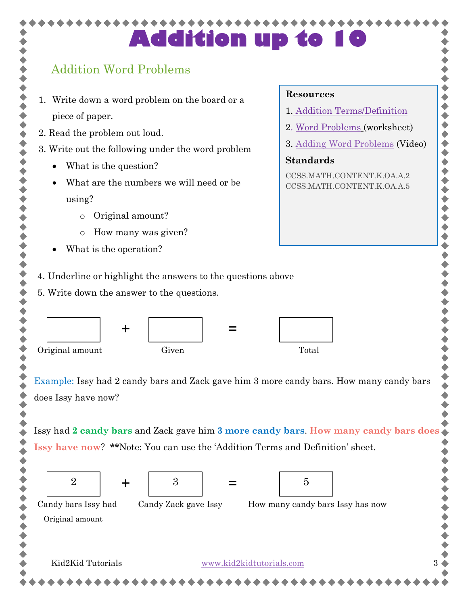### Addition Word Problems

- 1. Write down a word problem on the board or a piece of paper.
- 2. Read the problem out loud.
- 3. Write out the following under the word problem
	- What is the question?
	- What are the numbers we will need or be using?
		- o Original amount?
		- o How many was given?
	- What is the operation?
- 4. Underline or highlight the answers to the questions above
- 5. Write down the answer to the questions.



Example: Issy had 2 candy bars and Zack gave him 3 more candy bars. How many candy bars does Issy have now?

Issy had **2 candy bars** and Zack gave him **3 more candy bars**. **How many candy bars does Issy have now**? **\*\***Note: You can use the 'Addition Terms and Definition' sheet.



#### **Resources**

- 1. [Addition Terms/Definition](#page-7-0)
- 2. [Word Problems](#page-10-0) (worksheet)
- 3. [Adding Word Problems](https://www.youtube.com/watch?v=TmK3EUP6giI&feature=youtu.be) (Video)

,,,,,,,,,,,,,,,

### **Standards**

CCSS.MATH.CONTENT.K.OA.A.2 CCSS.MATH.CONTENT.K.OA.A.5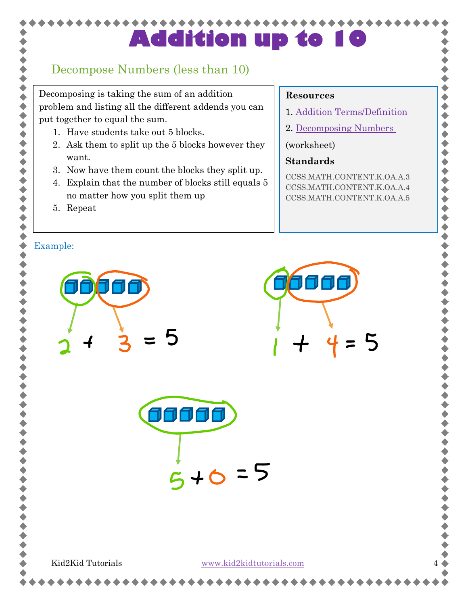### Decompose Numbers (less than 10)

Decomposing is taking the sum of an addition problem and listing all the different addends you can put together to equal the sum.

- 1. Have students take out 5 blocks.
- 2. Ask them to split up the 5 blocks however they want.
- 3. Now have them count the blocks they split up.
- 4. Explain that the number of blocks still equals 5 no matter how you split them up
- 5. Repeat

くくくくくくくくく

 $\ddot{\bullet}$ 

 $\blacklozenge$ 

### **Resources**

- 1. [Addition Terms/Definition](#page-7-0)
- 2. [Decomposing Numbers](#page-11-0)

(worksheet)

### **Standards**

CCSS.MATH.CONTENT.K.OA.A.3 CCSS.MATH.CONTENT.K.OA.A.4 CCSS.MATH.CONTENT.K.OA.A.5

,,,,,,,,,,,

 $\ddot{\bullet}$ 

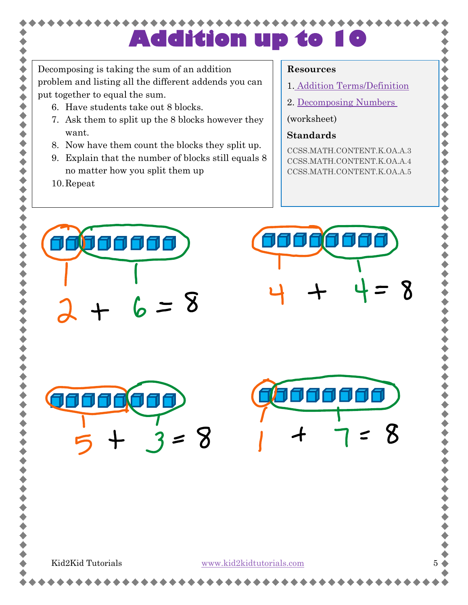Decomposing is taking the sum of an addition problem and listing all the different addends you can put together to equal the sum.

- 6. Have students take out 8 blocks.
- 7. Ask them to split up the 8 blocks however they want.
- 8. Now have them count the blocks they split up.
- 9. Explain that the number of blocks still equals 8 no matter how you split them up
- 10.Repeat

,,,,,,,,,,

#### **Resources**

1. [Addition Terms/Definition](#page-7-0)

 $\bullet$ 

◆◆◆

 $\ddot{\bullet}$  $\blacklozenge$ 

2. [Decomposing Numbers](#page-11-0)

(worksheet)

### **Standards**

CCSS.MATH.CONTENT.K.OA.A.3 CCSS.MATH.CONTENT.K.OA.A.4 CCSS.MATH.CONTENT.K.OA.A.5

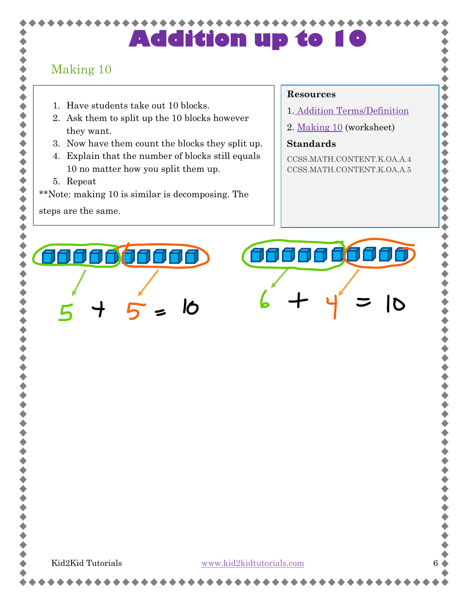### Making 10

令令令

◆◆◆◆◆◆◆

- 1. Have students take out 10 blocks.
- 2. Ask them to split up the 10 blocks however they want.
- 3. Now have them count the blocks they split up.
- 4. Explain that the number of blocks still equals 10 no matter how you split them up.
- 5. Repeat

\*\*Note: making 10 is similar is decomposing. The

steps are the same.

#### **Resources**

1. [Addition Terms/Definition](#page-7-0)

 $\blacklozenge$ 

◆◆◆◆◆

 $\blacklozenge$ 

 $\bullet$ 

2. [Making 10](#page-12-0) (worksheet)

#### **Standards**

CCSS.MATH.CONTENT.K.OA.A.4 CCSS.MATH.CONTENT.K.OA.A.5



Kid2Kid Tutorials [www.kid2kidtutorials.com](http://www.kid2kidtutorials.com/)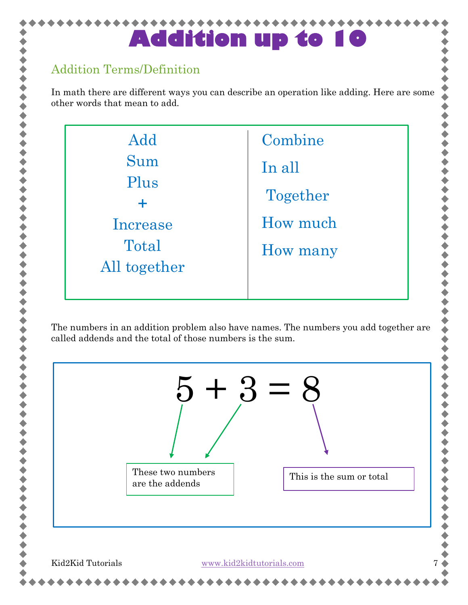### <span id="page-7-0"></span>Addition Terms/Definition

In math there are different ways you can describe an operation like adding. Here are some other words that mean to add.



The numbers in an addition problem also have names. The numbers you add together are called addends and the total of those numbers is the sum.

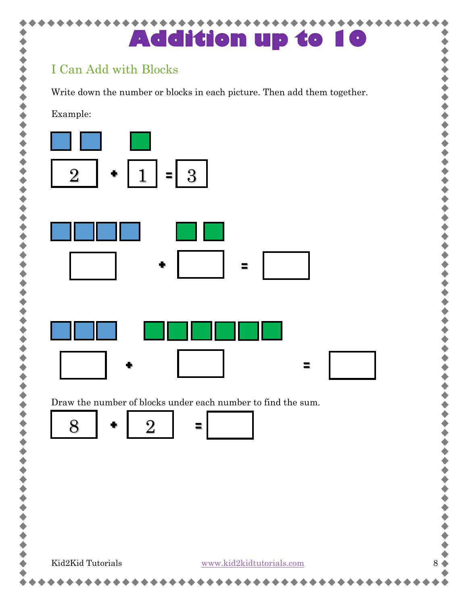<span id="page-8-0"></span>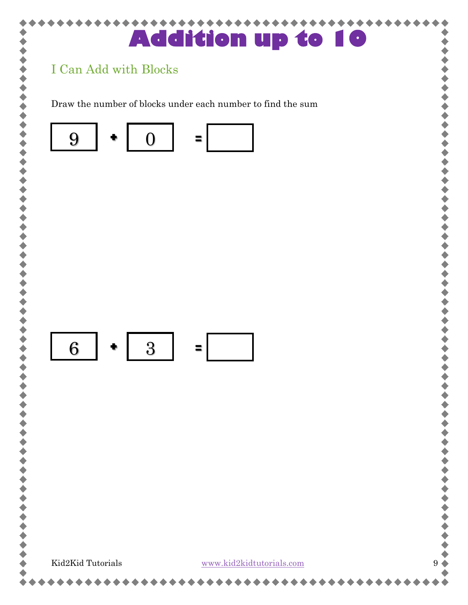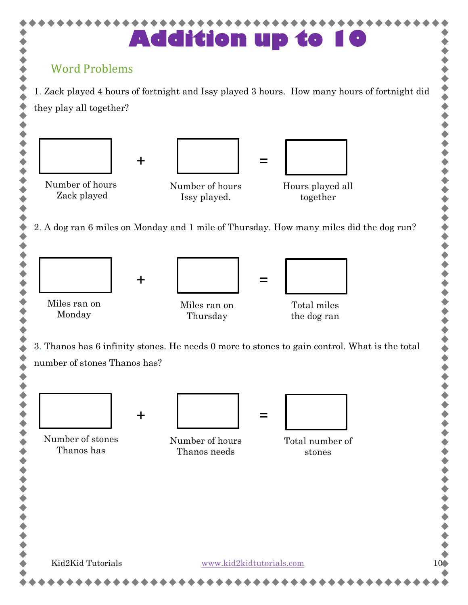<span id="page-10-0"></span>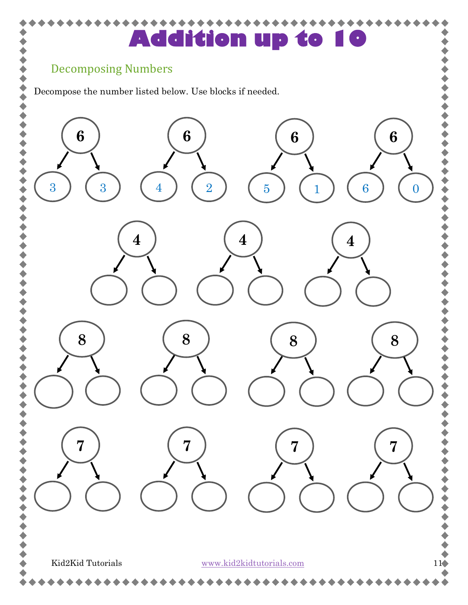### <span id="page-11-0"></span>Decomposing Numbers

 $\blacklozenge$ 

Decompose the number listed below. Use blocks if needed.